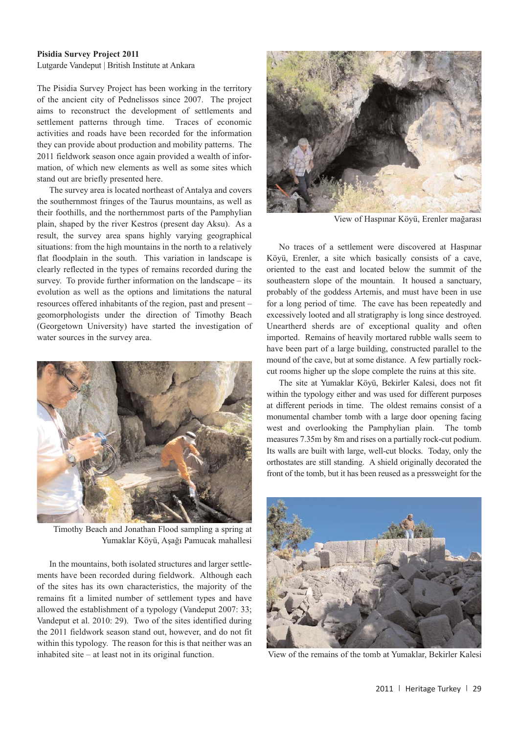Heritage Turkey volume 1 (2011) pp. 29-30 | doi:10.18866/biaa2015.018 | published online: 27 October 2015 © British Institute at Ankara

## **Pisidia Survey Project 2011**

Lutgarde Vandeput | British Institute at Ankara

The Pisidia Survey Project has been working in the territory of the ancient city of Pednelissos since 2007. The project aims to reconstruct the development of settlements and settlement patterns through time. Traces of economic activities and roads have been recorded for the information they can provide about production and mobility patterns. The 2011 fieldwork season once again provided a wealth of information, of which new elements as well as some sites which stand out are briefly presented here.

The survey area is located northeast of Antalya and covers the southernmost fringes of the Taurus mountains, as well as their foothills, and the northernmost parts of the Pamphylian plain, shaped by the river Kestros (present day Aksu). As a result, the survey area spans highly varying geographical situations: from the high mountains in the north to a relatively flat floodplain in the south. This variation in landscape is clearly reflected in the types of remains recorded during the survey. To provide further information on the landscape – its evolution as well as the options and limitations the natural resources offered inhabitants of the region, past and present – geomorphologists under the direction of Timothy Beach (Georgetown University) have started the investigation of water sources in the survey area.



Timothy Beach and Jonathan Flood sampling a spring at Yumaklar Köyü, Aşağı Pamucak mahallesi

In the mountains, both isolated structures and larger settlements have been recorded during fieldwork. Although each of the sites has its own characteristics, the majority of the remains fit a limited number of settlement types and have allowed the establishment of a typology (Vandeput 2007: 33; Vandeput et al. 2010: 29). Two of the sites identified during the 2011 fieldwork season stand out, however, and do not fit within this typology. The reason for this is that neither was an inhabited site – at least not in its original function.



View of Haspınar Köyü, Erenler mağarası

No traces of a settlement were discovered at Haspınar Köyü, Erenler, a site which basically consists of a cave, oriented to the east and located below the summit of the southeastern slope of the mountain. It housed a sanctuary, probably of the goddess Artemis, and must have been in use for a long period of time. The cave has been repeatedly and excessively looted and all stratigraphy is long since destroyed. Uneartherd sherds are of exceptional quality and often imported. Remains of heavily mortared rubble walls seem to have been part of a large building, constructed parallel to the mound of the cave, but at some distance. A few partially rockcut rooms higher up the slope complete the ruins at this site.

The site at Yumaklar Köyü, Bekirler Kalesi, does not fit within the typology either and was used for different purposes at different periods in time. The oldest remains consist of a monumental chamber tomb with a large door opening facing west and overlooking the Pamphylian plain. The tomb measures 7.35m by 8m and rises on a partially rock-cut podium. Its walls are built with large, well-cut blocks. Today, only the orthostates are still standing. A shield originally decorated the front of the tomb, but it has been reused as a pressweight for the



View of the remains of the tomb at Yumaklar, Bekirler Kalesi